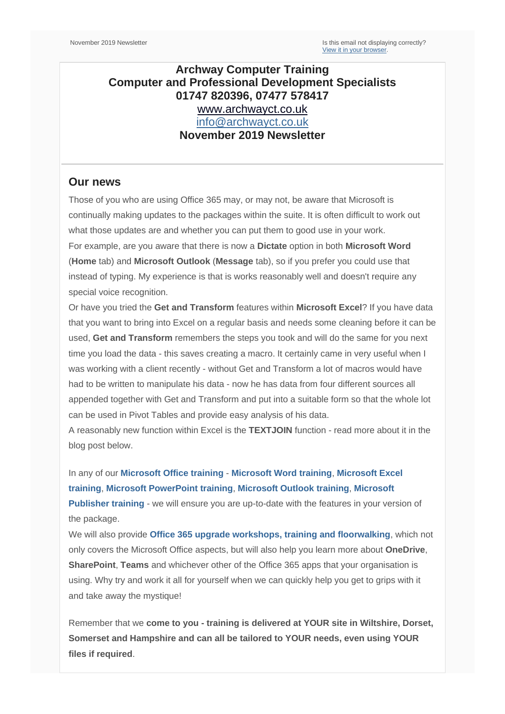## **Archway Computer Training Computer and Professional Development Specialists 01747 820396, 07477 578417** [www.archwayct.co.uk](http://www.archwayct.co.uk/) [info@archwayct.co.uk](mailto:%20info@archwayct.co.uk) **November 2019 Newsletter**

## **Our news**

Those of you who are using Office 365 may, or may not, be aware that Microsoft is continually making updates to the packages within the suite. It is often difficult to work out what those updates are and whether you can put them to good use in your work. For example, are you aware that there is now a **Dictate** option in both **Microsoft Word** (**Home** tab) and **Microsoft Outlook** (**Message** tab), so if you prefer you could use that instead of typing. My experience is that is works reasonably well and doesn't require any special voice recognition.

Or have you tried the **Get and Transform** features within **Microsoft Excel**? If you have data that you want to bring into Excel on a regular basis and needs some cleaning before it can be used, **Get and Transform** remembers the steps you took and will do the same for you next time you load the data - this saves creating a macro. It certainly came in very useful when I was working with a client recently - without Get and Transform a lot of macros would have had to be written to manipulate his data - now he has data from four different sources all appended together with Get and Transform and put into a suitable form so that the whole lot can be used in Pivot Tables and provide easy analysis of his data.

A reasonably new function within Excel is the **TEXTJOIN** function - read more about it in the blog post below.

In any of our **[Microsoft Office training](http://www.archwayct.co.uk/microsoft-office-training)** - **[Microsoft Word training](http://www.archwayct.co.uk/microsoft-office-training/microsoft-word-training)**, **[Microsoft Excel](http://www.archwayct.co.uk/microsoft-office-training/microsoft-excel-training)  [training](http://www.archwayct.co.uk/microsoft-office-training/microsoft-excel-training)**, **[Microsoft PowerPoint training](http://www.archwayct.co.uk/microsoft-office-training/microsoft-powerpoint-training)**, **[Microsoft Outlook training](http://www.archwayct.co.uk/microsoft-office-training/microsoft-outlook-training)**, **[Microsoft](http://www.archwayct.co.uk/microsoft-office-training/microsoft-publisher-training)  [Publisher training](http://www.archwayct.co.uk/microsoft-office-training/microsoft-publisher-training)** - we will ensure you are up-to-date with the features in your version of the package.

We will also provide **[Office 365 upgrade workshops, training and floorwalking](https://www.archwayct.co.uk/microsoft-office-training/office-365-upgrade-training/)**, which not only covers the Microsoft Office aspects, but will also help you learn more about **OneDrive**, **SharePoint**, **Teams** and whichever other of the Office 365 apps that your organisation is using. Why try and work it all for yourself when we can quickly help you get to grips with it and take away the mystique!

Remember that we **come to you - training is delivered at YOUR site in Wiltshire, Dorset, Somerset and Hampshire and can all be tailored to YOUR needs, even using YOUR files if required**.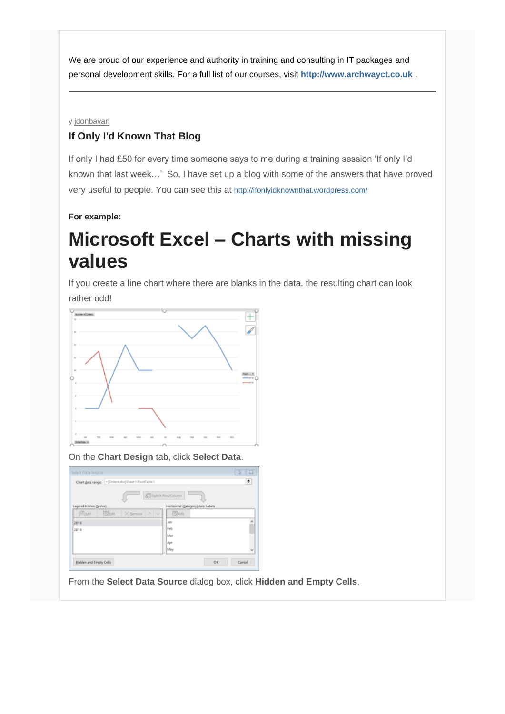We are proud of our experience and authority in training and consulting in IT packages and personal development skills. For a full list of our courses, visit **[http://www.archwayct.co.uk](http://www.archwayct.co.uk/)** .

y [jdonbavan](https://ifonlyidknownthat.wordpress.com/author/jdonbavand/)

## **If Only I'd Known That Blog**

If only I had £50 for every time someone says to me during a training session 'If only I'd known that last week…' So, I have set up a blog with some of the answers that have proved very useful to people. You can see this at <http://ifonlyidknownthat.wordpress.com/>

**For example:**

## **Microsoft Excel – Charts with missing values**

If you create a line chart where there are blanks in the data, the resulting chart can look rather odd!



On the **Chart Design** tab, click **Select Data**.

| Select Data Source      |                                                   |       |                                   | 図<br>Ð |
|-------------------------|---------------------------------------------------|-------|-----------------------------------|--------|
|                         | Chart data range: - [Orders.duc Sheet1!PhotTable1 |       |                                   | ÷      |
|                         |                                                   |       | <b>STI</b> Switch Row/Column      |        |
| Legend Entries (Series) |                                                   |       | Horizontal (Category) Asis Labels |        |
| 謂品                      | 同画<br>X Bernove                                   | All M | 取响                                |        |
| 2018                    |                                                   |       | Jan                               | ۸      |
| 2019                    |                                                   |       | Feb                               |        |
|                         |                                                   |       | Mar                               |        |
|                         |                                                   |       | Apr                               |        |
|                         |                                                   |       | May                               | Y      |

From the **Select Data Source** dialog box, click **Hidden and Empty Cells**.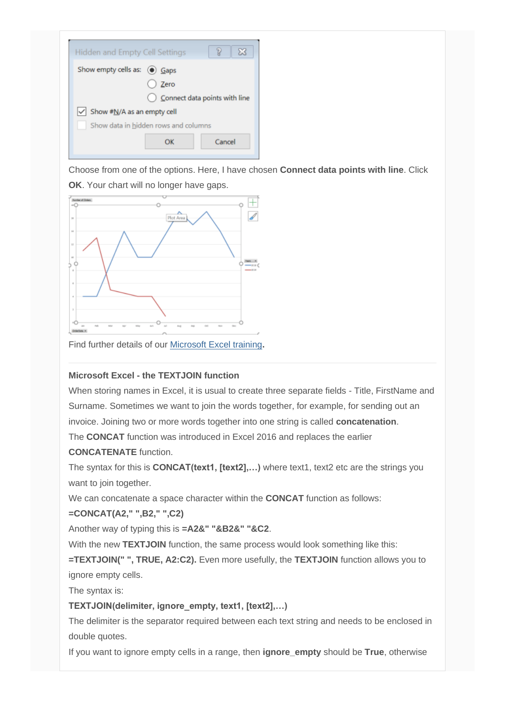

Choose from one of the options. Here, I have chosen **Connect data points with line**. Click **OK**. Your chart will no longer have gaps.



Find further details of our [Microsoft Excel training](http://www.archwayct.co.uk/microsoft-office-training/microsoft-excel-training)**.**

## **Microsoft Excel - the TEXTJOIN function**

When storing names in Excel, it is usual to create three separate fields - Title, FirstName and Surname. Sometimes we want to join the words together, for example, for sending out an invoice. Joining two or more words together into one string is called **concatenation**.

The **CONCAT** function was introduced in Excel 2016 and replaces the earlier

### **CONCATENATE** function.

The syntax for this is **CONCAT(text1, [text2],...)** where text1, text2 etc are the strings you want to join together.

We can concatenate a space character within the **CONCAT** function as follows:

### **=CONCAT(A2," ",B2," ",C2)**

Another way of typing this is **=A2&" "&B2&" "&C2**.

With the new **TEXTJOIN** function, the same process would look something like this:

**=TEXTJOIN(" ", TRUE, A2:C2).** Even more usefully, the **TEXTJOIN** function allows you to ignore empty cells.

The syntax is:

## **TEXTJOIN(delimiter, ignore\_empty, text1, [text2],…)**

The delimiter is the separator required between each text string and needs to be enclosed in double quotes.

If you want to ignore empty cells in a range, then **ignore\_empty** should be **True**, otherwise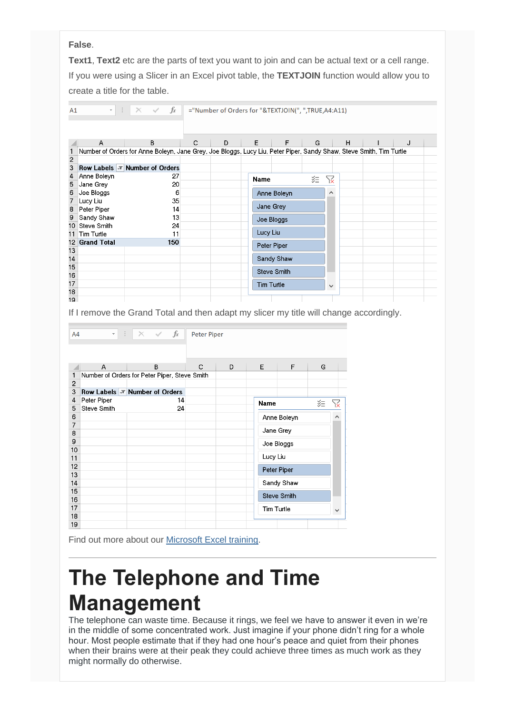#### **False**.

**Text1**, **Text2** etc are the parts of text you want to join and can be actual text or a cell range. If you were using a Slicer in an Excel pivot table, the **TEXTJOIN** function would allow you to create a title for the table.

| A1       | $\times$ $\checkmark$ fx<br>$\mathbf{v} \in \mathbb{R}^{n \times n}$<br>="Number of Orders for "&TEXTJOIN(", ",TRUE,A4:A11) |                                                                                                                     |   |   |                        |                    |    |              |  |   |
|----------|-----------------------------------------------------------------------------------------------------------------------------|---------------------------------------------------------------------------------------------------------------------|---|---|------------------------|--------------------|----|--------------|--|---|
|          | А                                                                                                                           | B                                                                                                                   | С | D | E                      | F                  | G  | H            |  | J |
|          |                                                                                                                             | Number of Orders for Anne Boleyn, Jane Grey, Joe Bloggs, Lucy Liu, Peter Piper, Sandy Shaw, Steve Smith, Tim Turtle |   |   |                        |                    |    |              |  |   |
| 2        |                                                                                                                             |                                                                                                                     |   |   |                        |                    |    |              |  |   |
| 3        |                                                                                                                             | Row Labels $\overline{r}$ Number of Orders                                                                          |   |   |                        |                    |    |              |  |   |
| 4        | Anne Boleyn                                                                                                                 | 27                                                                                                                  |   |   | Name                   |                    | ジ三 | ¥            |  |   |
| 5        | Jane Grey                                                                                                                   | 20                                                                                                                  |   |   |                        |                    |    |              |  |   |
| 6        | Joe Bloggs                                                                                                                  | 6<br>35                                                                                                             |   |   |                        | Anne Boleyn        |    | ∧            |  |   |
|          | Lucy Liu                                                                                                                    |                                                                                                                     |   |   | Jane Grey              |                    |    |              |  |   |
| 8        | Peter Piper                                                                                                                 | 14<br>13                                                                                                            |   |   |                        |                    |    |              |  |   |
| 9        | Sandy Shaw                                                                                                                  |                                                                                                                     |   |   | Joe Bloggs<br>Lucy Liu |                    |    |              |  |   |
| 10       |                                                                                                                             | Steve Smith<br>24                                                                                                   |   |   |                        |                    |    |              |  |   |
| 11<br>12 | Tim Turtle<br><b>Grand Total</b>                                                                                            | 11<br>150                                                                                                           |   |   |                        |                    |    |              |  |   |
| 13       |                                                                                                                             |                                                                                                                     |   |   |                        | Peter Piper        |    |              |  |   |
| 14       |                                                                                                                             |                                                                                                                     |   |   |                        | Sandy Shaw         |    |              |  |   |
| 15       |                                                                                                                             |                                                                                                                     |   |   |                        |                    |    |              |  |   |
| 16       |                                                                                                                             |                                                                                                                     |   |   |                        | <b>Steve Smith</b> |    |              |  |   |
| 17       |                                                                                                                             |                                                                                                                     |   |   |                        | <b>Tim Turtle</b>  |    | $\checkmark$ |  |   |
| 18       |                                                                                                                             |                                                                                                                     |   |   |                        |                    |    |              |  |   |
| 19       |                                                                                                                             |                                                                                                                     |   |   |                        |                    |    |              |  |   |

If I remove the Grand Total and then adapt my slicer my title will change accordingly.

| A4       | ÷<br>$\checkmark$  | $\times$ $\checkmark$ fx                      | <b>Peter Piper</b> |   |                    |   |   |    |  |
|----------|--------------------|-----------------------------------------------|--------------------|---|--------------------|---|---|----|--|
|          |                    |                                               |                    |   |                    |   |   |    |  |
|          | A                  | B                                             | C                  | D | Е                  | F | G |    |  |
| 1        |                    | Number of Orders for Peter Piper, Steve Smith |                    |   |                    |   |   |    |  |
| 2        |                    |                                               |                    |   |                    |   |   |    |  |
| 3        |                    | Row Labels $ \bar{x} $ Number of Orders       |                    |   |                    |   |   |    |  |
| 4        | Peter Piper        | 14                                            |                    |   | 空<br><b>Name</b>   |   |   | ١ź |  |
| 5        | <b>Steve Smith</b> | 24                                            |                    |   |                    |   |   | ∧  |  |
| 6        |                    |                                               |                    |   | Anne Boleyn        |   |   |    |  |
| 7        |                    |                                               |                    |   | Jane Grey          |   |   |    |  |
| 8        |                    |                                               |                    |   |                    |   |   |    |  |
| 9        |                    |                                               |                    |   | Joe Bloggs         |   |   |    |  |
| 10       |                    |                                               |                    |   | Lucy Liu           |   |   |    |  |
| 11<br>12 |                    |                                               |                    |   |                    |   |   |    |  |
| 13       |                    |                                               |                    |   | Peter Piper        |   |   |    |  |
| 14       |                    |                                               |                    |   | Sandy Shaw         |   |   |    |  |
| 15       |                    |                                               |                    |   |                    |   |   |    |  |
| 16       |                    |                                               |                    |   | <b>Steve Smith</b> |   |   |    |  |
| 17       |                    |                                               |                    |   | Tim Turtle         |   |   |    |  |
| 18       |                    |                                               |                    |   | $\checkmark$       |   |   |    |  |
| 19       |                    |                                               |                    |   |                    |   |   |    |  |

Find out more about our [Microsoft Excel training.](http://www.archwayct.co.uk/microsoft-office-training/microsoft-excel-training)

# **The Telephone and Time Management**

The telephone can waste time. Because it rings, we feel we have to answer it even in we're in the middle of some concentrated work. Just imagine if your phone didn't ring for a whole hour. Most people estimate that if they had one hour's peace and quiet from their phones when their brains were at their peak they could achieve three times as much work as they might normally do otherwise.